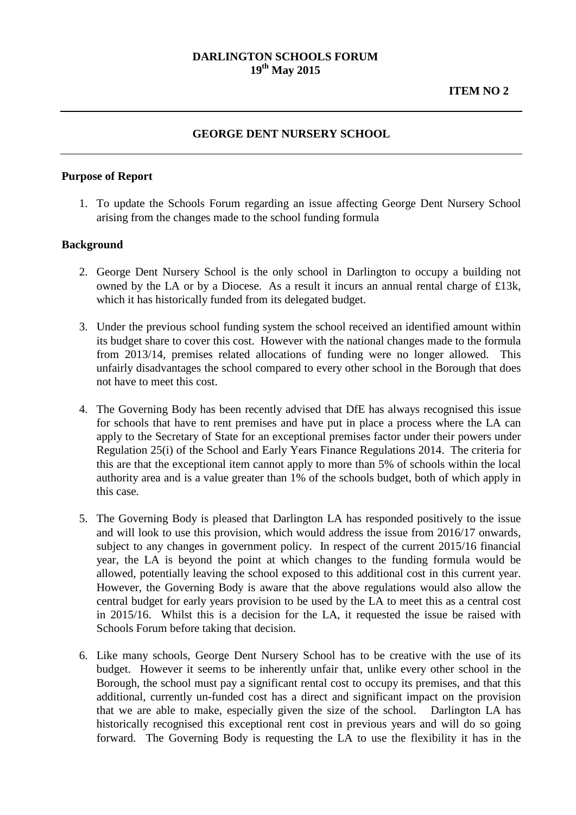## **GEORGE DENT NURSERY SCHOOL**

## **Purpose of Report**

1. To update the Schools Forum regarding an issue affecting George Dent Nursery School arising from the changes made to the school funding formula

## **Background**

- 2. George Dent Nursery School is the only school in Darlington to occupy a building not owned by the LA or by a Diocese. As a result it incurs an annual rental charge of £13k, which it has historically funded from its delegated budget.
- 3. Under the previous school funding system the school received an identified amount within its budget share to cover this cost. However with the national changes made to the formula from 2013/14, premises related allocations of funding were no longer allowed. This unfairly disadvantages the school compared to every other school in the Borough that does not have to meet this cost.
- 4. The Governing Body has been recently advised that DfE has always recognised this issue for schools that have to rent premises and have put in place a process where the LA can apply to the Secretary of State for an exceptional premises factor under their powers under Regulation 25(i) of the School and Early Years Finance Regulations 2014. The criteria for this are that the exceptional item cannot apply to more than 5% of schools within the local authority area and is a value greater than 1% of the schools budget, both of which apply in this case.
- 5. The Governing Body is pleased that Darlington LA has responded positively to the issue and will look to use this provision, which would address the issue from 2016/17 onwards, subject to any changes in government policy. In respect of the current 2015/16 financial year, the LA is beyond the point at which changes to the funding formula would be allowed, potentially leaving the school exposed to this additional cost in this current year. However, the Governing Body is aware that the above regulations would also allow the central budget for early years provision to be used by the LA to meet this as a central cost in 2015/16. Whilst this is a decision for the LA, it requested the issue be raised with Schools Forum before taking that decision.
- 6. Like many schools, George Dent Nursery School has to be creative with the use of its budget. However it seems to be inherently unfair that, unlike every other school in the Borough, the school must pay a significant rental cost to occupy its premises, and that this additional, currently un-funded cost has a direct and significant impact on the provision that we are able to make, especially given the size of the school. Darlington LA has historically recognised this exceptional rent cost in previous years and will do so going forward. The Governing Body is requesting the LA to use the flexibility it has in the